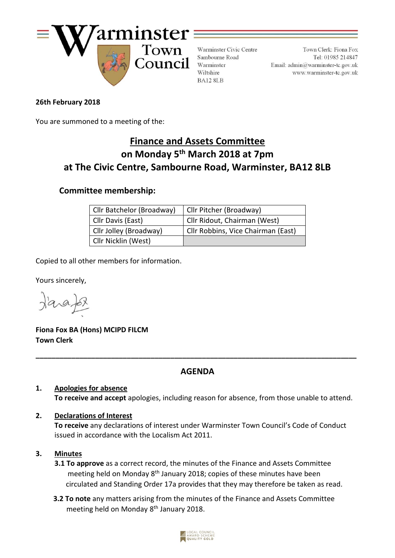

Warminster Civic Centre Sambourne Road Warminster Wiltshire BA12 8LB

Town Clerk: Fiona Fox Tel: 01985 214847 Email:  $\text{admin}\textcircled{a}$ warminster-tc.gov.uk www.warminster-tc.gov.uk

## **26th February 2018**

You are summoned to a meeting of the:

# **Finance and Assets Committee on Monday 5 th March 2018 at 7pm at The Civic Centre, Sambourne Road, Warminster, BA12 8LB**

## **Committee membership:**

| Cllr Batchelor (Broadway) | Cllr Pitcher (Broadway)            |
|---------------------------|------------------------------------|
| Cllr Davis (East)         | Cllr Ridout, Chairman (West)       |
| Cllr Jolley (Broadway)    | Cllr Robbins, Vice Chairman (East) |
| Cllr Nicklin (West)       |                                    |

Copied to all other members for information.

Yours sincerely,

**Fiona Fox BA (Hons) MCIPD FILCM Town Clerk**

## **AGENDA**

**\_\_\_\_\_\_\_\_\_\_\_\_\_\_\_\_\_\_\_\_\_\_\_\_\_\_\_\_\_\_\_\_\_\_\_\_\_\_\_\_\_\_\_\_\_\_\_\_\_\_\_\_\_\_\_\_\_\_\_\_\_\_\_\_\_\_\_\_\_\_\_\_\_\_\_\_\_\_\_\_\_**

## **1. Apologies for absence To receive and accept** apologies, including reason for absence, from those unable to attend.

## **2. Declarations of Interest**

**To receive** any declarations of interest under Warminster Town Council's Code of Conduct issued in accordance with the Localism Act 2011.

## **3. Minutes**

- **3.1 To approve** as a correct record, the minutes of the Finance and Assets Committee meeting held on Monday 8<sup>th</sup> January 2018; copies of these minutes have been circulated and Standing Order 17a provides that they may therefore be taken as read.
- **3.2 To note** any matters arising from the minutes of the Finance and Assets Committee meeting held on Monday 8<sup>th</sup> January 2018.

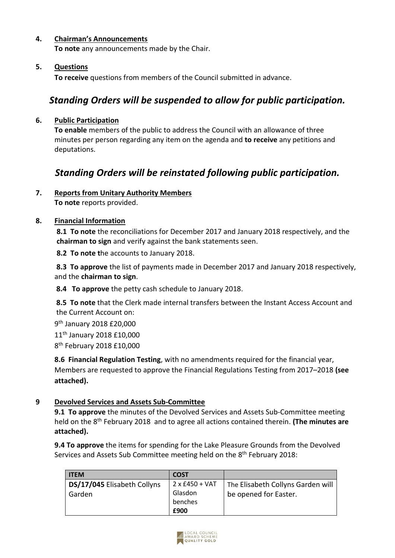#### **4. Chairman's Announcements**

**To note** any announcements made by the Chair.

#### **5. Questions**

**To receive** questions from members of the Council submitted in advance.

## *Standing Orders will be suspended to allow for public participation.*

#### **6. Public Participation**

**To enable** members of the public to address the Council with an allowance of three minutes per person regarding any item on the agenda and **to receive** any petitions and deputations.

## *Standing Orders will be reinstated following public participation.*

## **7. Reports from Unitary Authority Members**

**To note** reports provided.

#### **8. Financial Information**

**8.1 To note** the reconciliations for December 2017 and January 2018 respectively, and the **chairman to sign** and verify against the bank statements seen.

**8.2 To note t**he accounts to January 2018.

**8.3 To approve** the list of payments made in December 2017 and January 2018 respectively, and the **chairman to sign**.

**8.4 To approve** the petty cash schedule to January 2018.

**8.5 To note** that the Clerk made internal transfers between the Instant Access Account and the Current Account on:

9<sup>th</sup> January 2018 £20,000 11th January 2018 £10,000 8<sup>th</sup> February 2018 £10,000

**8.6 Financial Regulation Testing**, with no amendments required for the financial year, Members are requested to approve the Financial Regulations Testing from 2017–2018 **(see attached).**

## **9 Devolved Services and Assets Sub-Committee**

**9.1 To approve** the minutes of the Devolved Services and Assets Sub-Committee meeting held on the 8 th February 2018 and to agree all actions contained therein. **(The minutes are attached).**

**9.4 To approve** the items for spending for the Lake Pleasure Grounds from the Devolved Services and Assets Sub Committee meeting held on the 8th February 2018:

| <b>ITEM</b>                 | <b>COST</b>           |                                   |
|-----------------------------|-----------------------|-----------------------------------|
| DS/17/045 Elisabeth Collyns | $2 \times £450 + VAT$ | The Elisabeth Collyns Garden will |
| Garden                      | Glasdon               | be opened for Easter.             |
|                             | benches               |                                   |
|                             | £900                  |                                   |

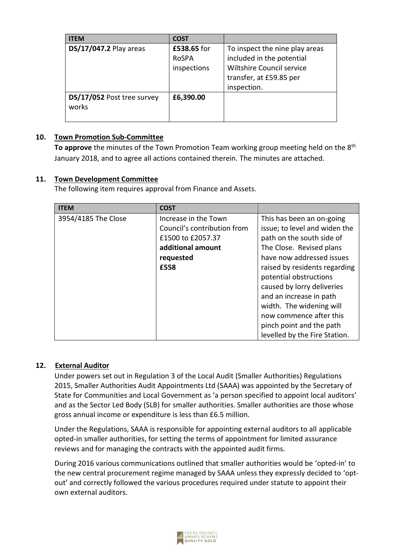| <b>ITEM</b>                         | <b>COST</b>                         |                                                                                                                                    |
|-------------------------------------|-------------------------------------|------------------------------------------------------------------------------------------------------------------------------------|
| DS/17/047.2 Play areas              | £538.65 for<br>RoSPA<br>inspections | To inspect the nine play areas<br>included in the potential<br>Wiltshire Council service<br>transfer, at £59.85 per<br>inspection. |
| DS/17/052 Post tree survey<br>works | £6,390.00                           |                                                                                                                                    |

## **10. Town Promotion Sub-Committee**

**To approve** the minutes of the Town Promotion Team working group meeting held on the 8th January 2018, and to agree all actions contained therein. The minutes are attached.

## **11. Town Development Committee**

The following item requires approval from Finance and Assets.

| <b>ITEM</b>         | <b>COST</b>                 |                               |
|---------------------|-----------------------------|-------------------------------|
| 3954/4185 The Close | Increase in the Town        | This has been an on-going     |
|                     | Council's contribution from | issue; to level and widen the |
|                     | £1500 to £2057.37           | path on the south side of     |
|                     | additional amount           | The Close. Revised plans      |
|                     | requested                   | have now addressed issues     |
|                     | £558                        | raised by residents regarding |
|                     |                             | potential obstructions        |
|                     |                             | caused by lorry deliveries    |
|                     |                             | and an increase in path       |
|                     |                             | width. The widening will      |
|                     |                             | now commence after this       |
|                     |                             | pinch point and the path      |
|                     |                             | levelled by the Fire Station. |

## **12. External Auditor**

Under powers set out in Regulation 3 of the Local Audit (Smaller Authorities) Regulations 2015, Smaller Authorities Audit Appointments Ltd (SAAA) was appointed by the Secretary of State for Communities and Local Government as 'a person specified to appoint local auditors' and as the Sector Led Body (SLB) for smaller authorities. Smaller authorities are those whose gross annual income or expenditure is less than £6.5 million.

Under the Regulations, SAAA is responsible for appointing external auditors to all applicable opted-in smaller authorities, for setting the terms of appointment for limited assurance reviews and for managing the contracts with the appointed audit firms.

During 2016 various communications outlined that smaller authorities would be 'opted-in' to the new central procurement regime managed by SAAA unless they expressly decided to 'optout' and correctly followed the various procedures required under statute to appoint their own external auditors.

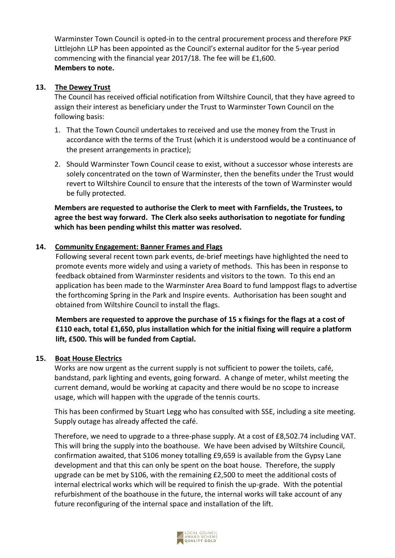Warminster Town Council is opted-in to the central procurement process and therefore PKF Littlejohn LLP has been appointed as the Council's external auditor for the 5-year period commencing with the financial year 2017/18. The fee will be £1,600. **Members to note.**

#### **13. The Dewey Trust**

The Council has received official notification from Wiltshire Council, that they have agreed to assign their interest as beneficiary under the Trust to Warminster Town Council on the following basis:

- 1. That the Town Council undertakes to received and use the money from the Trust in accordance with the terms of the Trust (which it is understood would be a continuance of the present arrangements in practice);
- 2. Should Warminster Town Council cease to exist, without a successor whose interests are solely concentrated on the town of Warminster, then the benefits under the Trust would revert to Wiltshire Council to ensure that the interests of the town of Warminster would be fully protected.

## **Members are requested to authorise the Clerk to meet with Farnfields, the Trustees, to agree the best way forward. The Clerk also seeks authorisation to negotiate for funding which has been pending whilst this matter was resolved.**

## **14. Community Engagement: Banner Frames and Flags**

Following several recent town park events, de-brief meetings have highlighted the need to promote events more widely and using a variety of methods. This has been in response to feedback obtained from Warminster residents and visitors to the town. To this end an application has been made to the Warminster Area Board to fund lamppost flags to advertise the forthcoming Spring in the Park and Inspire events. Authorisation has been sought and obtained from Wiltshire Council to install the flags.

**Members are requested to approve the purchase of 15 x fixings for the flags at a cost of £110 each, total £1,650, plus installation which for the initial fixing will require a platform lift, £500. This will be funded from Captial.**

#### **15. Boat House Electrics**

Works are now urgent as the current supply is not sufficient to power the toilets, café, bandstand, park lighting and events, going forward. A change of meter, whilst meeting the current demand, would be working at capacity and there would be no scope to increase usage, which will happen with the upgrade of the tennis courts.

This has been confirmed by Stuart Legg who has consulted with SSE, including a site meeting. Supply outage has already affected the café.

Therefore, we need to upgrade to a three-phase supply. At a cost of £8,502.74 including VAT. This will bring the supply into the boathouse. We have been advised by Wiltshire Council, confirmation awaited, that S106 money totalling £9,659 is available from the Gypsy Lane development and that this can only be spent on the boat house. Therefore, the supply upgrade can be met by S106, with the remaining £2,500 to meet the additional costs of internal electrical works which will be required to finish the up-grade. With the potential refurbishment of the boathouse in the future, the internal works will take account of any future reconfiguring of the internal space and installation of the lift.